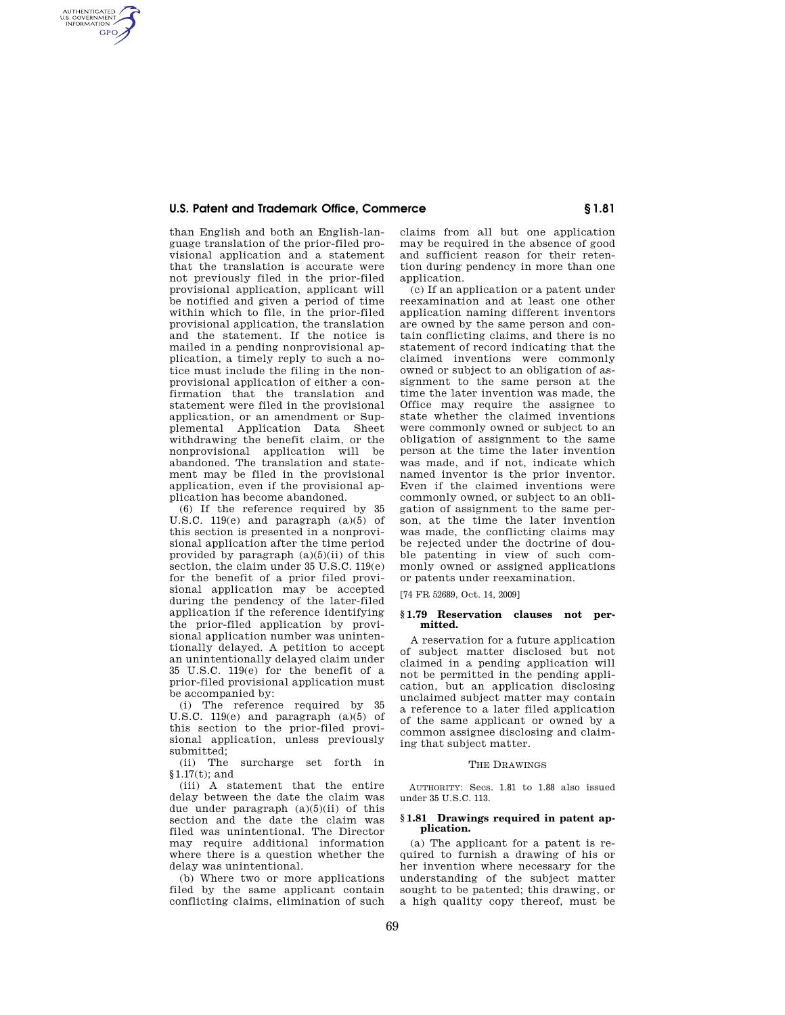## **U.S. Patent and Trademark Office, Commerce § 1.81**

AUTHENTICATED<br>U.S. GOVERNMENT<br>INFORMATION **GPO** 

> than English and both an English-language translation of the prior-filed provisional application and a statement that the translation is accurate were not previously filed in the prior-filed provisional application, applicant will be notified and given a period of time within which to file, in the prior-filed provisional application, the translation and the statement. If the notice is mailed in a pending nonprovisional application, a timely reply to such a notice must include the filing in the nonprovisional application of either a confirmation that the translation and statement were filed in the provisional application, or an amendment or Supplemental Application Data Sheet withdrawing the benefit claim, or the nonprovisional application will be abandoned. The translation and statement may be filed in the provisional application, even if the provisional application has become abandoned.

> (6) If the reference required by 35 U.S.C. 119 $(e)$  and paragraph  $(a)(5)$  of this section is presented in a nonprovisional application after the time period provided by paragraph  $(a)(5)(ii)$  of this section, the claim under 35 U.S.C. 119(e) for the benefit of a prior filed provisional application may be accepted during the pendency of the later-filed application if the reference identifying the prior-filed application by provisional application number was unintentionally delayed. A petition to accept an unintentionally delayed claim under 35 U.S.C. 119(e) for the benefit of a prior-filed provisional application must be accompanied by:

> (i) The reference required by 35 U.S.C.  $119(e)$  and paragraph  $(a)(5)$  of this section to the prior-filed provisional application, unless previously submitted;

> (ii) The surcharge set forth in §1.17(t); and

> (iii) A statement that the entire delay between the date the claim was due under paragraph  $(a)(5)(ii)$  of this section and the date the claim was filed was unintentional. The Director may require additional information where there is a question whether the delay was unintentional.

> (b) Where two or more applications filed by the same applicant contain conflicting claims, elimination of such

claims from all but one application may be required in the absence of good and sufficient reason for their retention during pendency in more than one application.

(c) If an application or a patent under reexamination and at least one other application naming different inventors are owned by the same person and contain conflicting claims, and there is no statement of record indicating that the claimed inventions were commonly owned or subject to an obligation of assignment to the same person at the time the later invention was made, the Office may require the assignee to state whether the claimed inventions were commonly owned or subject to an obligation of assignment to the same person at the time the later invention was made, and if not, indicate which named inventor is the prior inventor. Even if the claimed inventions were commonly owned, or subject to an obligation of assignment to the same person, at the time the later invention was made, the conflicting claims may be rejected under the doctrine of double patenting in view of such commonly owned or assigned applications or patents under reexamination.

[74 FR 52689, Oct. 14, 2009]

#### **§ 1.79 Reservation clauses not permitted.**

A reservation for a future application of subject matter disclosed but not claimed in a pending application will not be permitted in the pending application, but an application disclosing unclaimed subject matter may contain a reference to a later filed application of the same applicant or owned by a common assignee disclosing and claiming that subject matter.

#### THE DRAWINGS

AUTHORITY: Secs. 1.81 to 1.88 also issued under 35 U.S.C. 113.

#### **§ 1.81 Drawings required in patent application.**

(a) The applicant for a patent is required to furnish a drawing of his or her invention where necessary for the understanding of the subject matter sought to be patented; this drawing, or a high quality copy thereof, must be